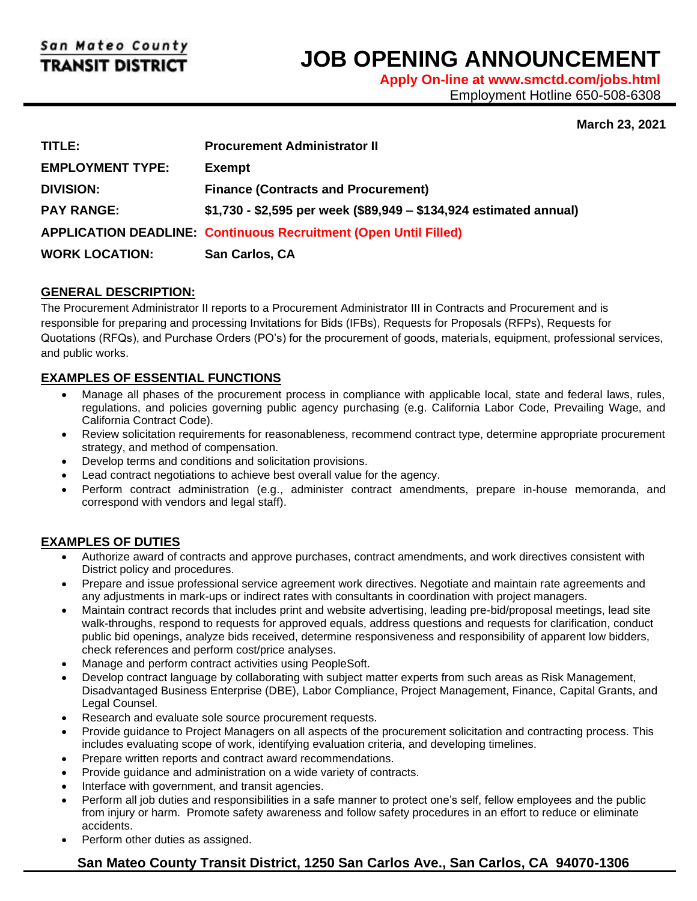l

# **JOB OPENING ANNOUNCEMENT**

**Apply On-line at www.smctd.com/jobs.html** Employment Hotline 650-508-6308

## **March 23, 2021**

| TITLE:                  | <b>Procurement Administrator II</b>                                     |
|-------------------------|-------------------------------------------------------------------------|
| <b>EMPLOYMENT TYPE:</b> | <b>Exempt</b>                                                           |
| <b>DIVISION:</b>        | <b>Finance (Contracts and Procurement)</b>                              |
| <b>PAY RANGE:</b>       | \$1,730 - \$2,595 per week (\$89,949 - \$134,924 estimated annual)      |
|                         | <b>APPLICATION DEADLINE: Continuous Recruitment (Open Until Filled)</b> |
| <b>WORK LOCATION:</b>   | San Carlos, CA                                                          |

## **GENERAL DESCRIPTION:**

The Procurement Administrator II reports to a Procurement Administrator III in Contracts and Procurement and is responsible for preparing and processing Invitations for Bids (IFBs), Requests for Proposals (RFPs), Requests for Quotations (RFQs), and Purchase Orders (PO's) for the procurement of goods, materials, equipment, professional services, and public works.

# **EXAMPLES OF ESSENTIAL FUNCTIONS**

- Manage all phases of the procurement process in compliance with applicable local, state and federal laws, rules, regulations, and policies governing public agency purchasing (e.g. California Labor Code, Prevailing Wage, and California Contract Code).
- Review solicitation requirements for reasonableness, recommend contract type, determine appropriate procurement strategy, and method of compensation.
- Develop terms and conditions and solicitation provisions.
- Lead contract negotiations to achieve best overall value for the agency.
- Perform contract administration (e.g., administer contract amendments, prepare in-house memoranda, and correspond with vendors and legal staff).

#### **EXAMPLES OF DUTIES**

- Authorize award of contracts and approve purchases, contract amendments, and work directives consistent with District policy and procedures.
- Prepare and issue professional service agreement work directives. Negotiate and maintain rate agreements and any adjustments in mark-ups or indirect rates with consultants in coordination with project managers.
- Maintain contract records that includes print and website advertising, leading pre-bid/proposal meetings, lead site walk-throughs, respond to requests for approved equals, address questions and requests for clarification, conduct public bid openings, analyze bids received, determine responsiveness and responsibility of apparent low bidders, check references and perform cost/price analyses.
- Manage and perform contract activities using PeopleSoft.
- Develop contract language by collaborating with subject matter experts from such areas as Risk Management, Disadvantaged Business Enterprise (DBE), Labor Compliance, Project Management, Finance, Capital Grants, and Legal Counsel.
- Research and evaluate sole source procurement requests.
- Provide guidance to Project Managers on all aspects of the procurement solicitation and contracting process. This includes evaluating scope of work, identifying evaluation criteria, and developing timelines.
- Prepare written reports and contract award recommendations.
- Provide guidance and administration on a wide variety of contracts.
- Interface with government, and transit agencies.
- Perform all job duties and responsibilities in a safe manner to protect one's self, fellow employees and the public from injury or harm. Promote safety awareness and follow safety procedures in an effort to reduce or eliminate accidents.
- Perform other duties as assigned.

# **San Mateo County Transit District, 1250 San Carlos Ave., San Carlos, CA 94070-1306**